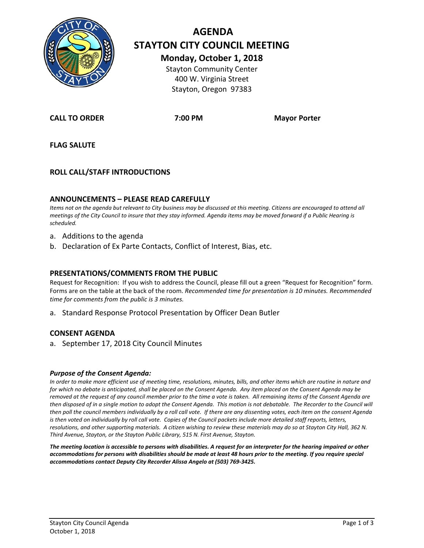

# **AGENDA STAYTON CITY COUNCIL MEETING Monday, October 1, 2018**

Stayton Community Center 400 W. Virginia Street Stayton, Oregon 97383

**CALL TO ORDER 7:00 PM Mayor Porter**

**FLAG SALUTE**

## **ROLL CALL/STAFF INTRODUCTIONS**

#### **ANNOUNCEMENTS – PLEASE READ CAREFULLY**

*Items not on the agenda but relevant to City business may be discussed at this meeting. Citizens are encouraged to attend all meetings of the City Council to insure that they stay informed. Agenda items may be moved forward if a Public Hearing is scheduled.*

- a. Additions to the agenda
- b. Declaration of Ex Parte Contacts, Conflict of Interest, Bias, etc.

#### **PRESENTATIONS/COMMENTS FROM THE PUBLIC**

Request for Recognition: If you wish to address the Council, please fill out a green "Request for Recognition" form. Forms are on the table at the back of the room. *Recommended time for presentation is 10 minutes. Recommended time for comments from the public is 3 minutes.*

a. Standard Response Protocol Presentation by Officer Dean Butler

#### **CONSENT AGENDA**

a. September 17, 2018 City Council Minutes

#### *Purpose of the Consent Agenda:*

*In order to make more efficient use of meeting time, resolutions, minutes, bills, and other items which are routine in nature and for which no debate is anticipated, shall be placed on the Consent Agenda. Any item placed on the Consent Agenda may be removed at the request of any council member prior to the time a vote is taken. All remaining items of the Consent Agenda are then disposed of in a single motion to adopt the Consent Agenda. This motion is not debatable. The Recorder to the Council will then poll the council members individually by a roll call vote. If there are any dissenting votes, each item on the consent Agenda is then voted on individually by roll call vote. Copies of the Council packets include more detailed staff reports, letters, resolutions, and other supporting materials. A citizen wishing to review these materials may do so at Stayton City Hall, 362 N. Third Avenue, Stayton, or the Stayton Public Library, 515 N. First Avenue, Stayton.*

*The meeting location is accessible to persons with disabilities. A request for an interpreter for the hearing impaired or other accommodations for persons with disabilities should be made at least 48 hours prior to the meeting. If you require special accommodations contact Deputy City Recorder Alissa Angelo at (503) 769-3425.*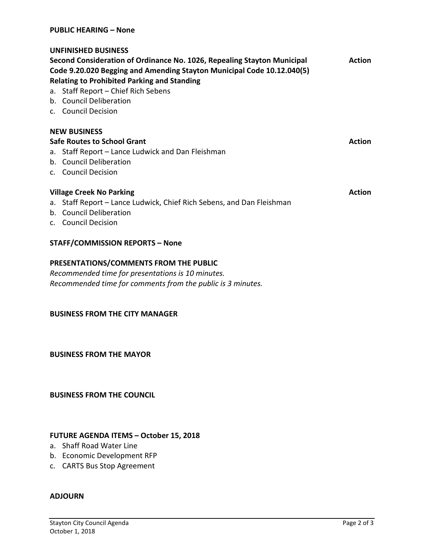## **UNFINISHED BUSINESS**

| Second Consideration of Ordinance No. 1026, Repealing Stayton Municipal | <b>Action</b> |
|-------------------------------------------------------------------------|---------------|
| Code 9.20.020 Begging and Amending Stayton Municipal Code 10.12.040(5)  |               |
| <b>Relating to Prohibited Parking and Standing</b>                      |               |
| a. Staff Report – Chief Rich Sebens                                     |               |

- b. Council Deliberation
- c. Council Decision

### **NEW BUSINESS**

**Safe Routes to School Grant Action** 

- a. Staff Report Lance Ludwick and Dan Fleishman
- b. Council Deliberation
- c. Council Decision

## **Village Creek No Parking Action Action Action Action Action Action**

- a. Staff Report Lance Ludwick, Chief Rich Sebens, and Dan Fleishman
- b. Council Deliberation
- c. Council Decision

## **STAFF/COMMISSION REPORTS – None**

## **PRESENTATIONS/COMMENTS FROM THE PUBLIC**

*Recommended time for presentations is 10 minutes. Recommended time for comments from the public is 3 minutes.*

## **BUSINESS FROM THE CITY MANAGER**

**BUSINESS FROM THE MAYOR**

**BUSINESS FROM THE COUNCIL**

## **FUTURE AGENDA ITEMS – October 15, 2018**

- a. Shaff Road Water Line
- b. Economic Development RFP
- c. CARTS Bus Stop Agreement

#### **ADJOURN**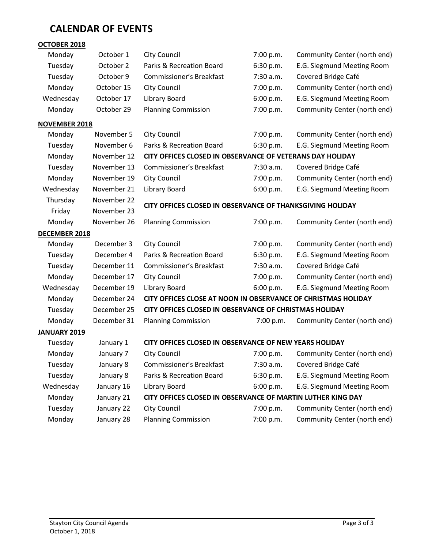# **CALENDAR OF EVENTS**

| OCTOBER 2018         |             |                                                               |           |                              |
|----------------------|-------------|---------------------------------------------------------------|-----------|------------------------------|
| Monday               | October 1   | <b>City Council</b>                                           | 7:00 p.m. | Community Center (north end) |
| Tuesday<br>October 2 |             | Parks & Recreation Board                                      | 6:30 p.m. | E.G. Siegmund Meeting Room   |
| Tuesday<br>October 9 |             | Commissioner's Breakfast                                      | 7:30 a.m. | Covered Bridge Café          |
| Monday               | October 15  | <b>City Council</b>                                           | 7:00 p.m. | Community Center (north end) |
| Wednesday            | October 17  | Library Board                                                 | 6:00 p.m. | E.G. Siegmund Meeting Room   |
| Monday               | October 29  | <b>Planning Commission</b>                                    | 7:00 p.m. | Community Center (north end) |
| <b>NOVEMBER 2018</b> |             |                                                               |           |                              |
| Monday               | November 5  | <b>City Council</b>                                           | 7:00 p.m. | Community Center (north end) |
| Tuesday              | November 6  | Parks & Recreation Board                                      | 6:30 p.m. | E.G. Siegmund Meeting Room   |
| Monday               | November 12 | CITY OFFICES CLOSED IN OBSERVANCE OF VETERANS DAY HOLIDAY     |           |                              |
| Tuesday              | November 13 | <b>Commissioner's Breakfast</b>                               | 7:30 a.m. | Covered Bridge Café          |
| Monday               | November 19 | <b>City Council</b>                                           | 7:00 p.m. | Community Center (north end) |
| Wednesday            | November 21 | Library Board                                                 | 6:00 p.m. | E.G. Siegmund Meeting Room   |
| Thursday             | November 22 |                                                               |           |                              |
| Friday               | November 23 | CITY OFFICES CLOSED IN OBSERVANCE OF THANKSGIVING HOLIDAY     |           |                              |
| Monday               | November 26 | <b>Planning Commission</b>                                    | 7:00 p.m. | Community Center (north end) |
| <b>DECEMBER 2018</b> |             |                                                               |           |                              |
| Monday               | December 3  | <b>City Council</b>                                           | 7:00 p.m. | Community Center (north end) |
| Tuesday              | December 4  | Parks & Recreation Board                                      | 6:30 p.m. | E.G. Siegmund Meeting Room   |
| Tuesday              | December 11 | <b>Commissioner's Breakfast</b>                               | 7:30 a.m. | Covered Bridge Café          |
| Monday               | December 17 | <b>City Council</b>                                           | 7:00 p.m. | Community Center (north end) |
| Wednesday            | December 19 | Library Board                                                 | 6:00 p.m. | E.G. Siegmund Meeting Room   |
| Monday               | December 24 | CITY OFFICES CLOSE AT NOON IN OBSERVANCE OF CHRISTMAS HOLIDAY |           |                              |
| Tuesday              | December 25 | CITY OFFICES CLOSED IN OBSERVANCE OF CHRISTMAS HOLIDAY        |           |                              |
| Monday               | December 31 | <b>Planning Commission</b>                                    | 7:00 p.m. | Community Center (north end) |
| JANUARY 2019         |             |                                                               |           |                              |
| Tuesday              | January 1   | CITY OFFICES CLOSED IN OBSERVANCE OF NEW YEARS HOLIDAY        |           |                              |
| Monday               | January 7   | <b>City Council</b>                                           | 7:00 p.m. | Community Center (north end) |
| Tuesday              | January 8   | Commissioner's Breakfast                                      | 7:30 a.m. | Covered Bridge Café          |
| Tuesday              | January 8   | Parks & Recreation Board                                      | 6:30 p.m. | E.G. Siegmund Meeting Room   |
| Wednesday            | January 16  | Library Board                                                 | 6:00 p.m. | E.G. Siegmund Meeting Room   |
| Monday               | January 21  | CITY OFFICES CLOSED IN OBSERVANCE OF MARTIN LUTHER KING DAY   |           |                              |
| Tuesday              | January 22  | <b>City Council</b>                                           | 7:00 p.m. | Community Center (north end) |
| Monday               | January 28  | <b>Planning Commission</b>                                    | 7:00 p.m. | Community Center (north end) |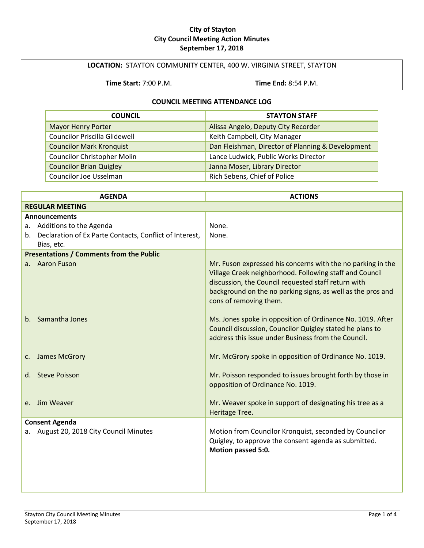#### **City of Stayton City Council Meeting Action Minutes September 17, 2018**

## **LOCATION:** STAYTON COMMUNITY CENTER, 400 W. VIRGINIA STREET, STAYTON

**Time Start:** 7:00 P.M. **Time End:** 8:54 P.M.

## **COUNCIL MEETING ATTENDANCE LOG**

| <b>COUNCIL</b>                       | <b>STAYTON STAFF</b>                              |
|--------------------------------------|---------------------------------------------------|
| <b>Mayor Henry Porter</b>            | Alissa Angelo, Deputy City Recorder               |
| <b>Councilor Priscilla Glidewell</b> | Keith Campbell, City Manager                      |
| <b>Councilor Mark Kronquist</b>      | Dan Fleishman, Director of Planning & Development |
| <b>Councilor Christopher Molin</b>   | Lance Ludwick, Public Works Director              |
| <b>Councilor Brian Quigley</b>       | Janna Moser, Library Director                     |
| Councilor Joe Usselman               | Rich Sebens, Chief of Police                      |

| <b>AGENDA</b>                                              | <b>ACTIONS</b>                                                                                                                                                                                                                                                         |
|------------------------------------------------------------|------------------------------------------------------------------------------------------------------------------------------------------------------------------------------------------------------------------------------------------------------------------------|
| <b>REGULAR MEETING</b>                                     |                                                                                                                                                                                                                                                                        |
| <b>Announcements</b>                                       |                                                                                                                                                                                                                                                                        |
| Additions to the Agenda<br>а.                              | None.                                                                                                                                                                                                                                                                  |
| b. Declaration of Ex Parte Contacts, Conflict of Interest, | None.                                                                                                                                                                                                                                                                  |
| Bias, etc.                                                 |                                                                                                                                                                                                                                                                        |
| <b>Presentations / Comments from the Public</b>            |                                                                                                                                                                                                                                                                        |
| a. Aaron Fuson                                             | Mr. Fuson expressed his concerns with the no parking in the<br>Village Creek neighborhood. Following staff and Council<br>discussion, the Council requested staff return with<br>background on the no parking signs, as well as the pros and<br>cons of removing them. |
| Samantha Jones<br>b.                                       | Ms. Jones spoke in opposition of Ordinance No. 1019. After<br>Council discussion, Councilor Quigley stated he plans to<br>address this issue under Business from the Council.                                                                                          |
| James McGrory<br>c.                                        | Mr. McGrory spoke in opposition of Ordinance No. 1019.                                                                                                                                                                                                                 |
| <b>Steve Poisson</b><br>d.                                 | Mr. Poisson responded to issues brought forth by those in<br>opposition of Ordinance No. 1019.                                                                                                                                                                         |
| Jim Weaver<br>e.                                           | Mr. Weaver spoke in support of designating his tree as a<br>Heritage Tree.                                                                                                                                                                                             |
| <b>Consent Agenda</b>                                      |                                                                                                                                                                                                                                                                        |
| August 20, 2018 City Council Minutes<br>а.                 | Motion from Councilor Kronquist, seconded by Councilor<br>Quigley, to approve the consent agenda as submitted.<br>Motion passed 5:0.                                                                                                                                   |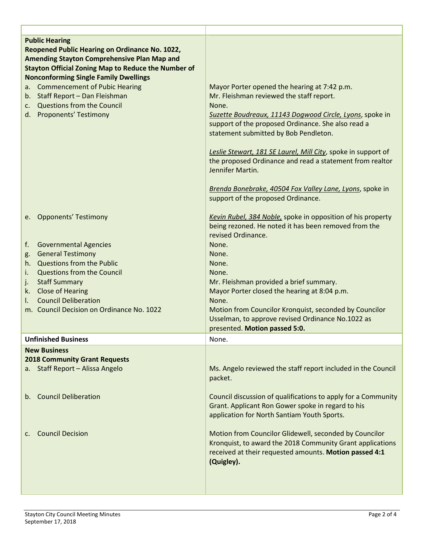| <b>Public Hearing</b><br>Reopened Public Hearing on Ordinance No. 1022,<br><b>Amending Stayton Comprehensive Plan Map and</b><br><b>Stayton Official Zoning Map to Reduce the Number of</b><br><b>Nonconforming Single Family Dwellings</b><br><b>Commencement of Pubic Hearing</b><br>a.<br>b. Staff Report - Dan Fleishman<br>c. Questions from the Council<br>d. Proponents' Testimony | Mayor Porter opened the hearing at 7:42 p.m.<br>Mr. Fleishman reviewed the staff report.<br>None.<br>Suzette Boudreaux, 11143 Dogwood Circle, Lyons, spoke in<br>support of the proposed Ordinance. She also read a<br>statement submitted by Bob Pendleton.<br>Leslie Stewart, 181 SE Laurel, Mill City, spoke in support of<br>the proposed Ordinance and read a statement from realtor<br>Jennifer Martin.<br>Brenda Bonebrake, 40504 Fox Valley Lane, Lyons, spoke in<br>support of the proposed Ordinance. |
|-------------------------------------------------------------------------------------------------------------------------------------------------------------------------------------------------------------------------------------------------------------------------------------------------------------------------------------------------------------------------------------------|-----------------------------------------------------------------------------------------------------------------------------------------------------------------------------------------------------------------------------------------------------------------------------------------------------------------------------------------------------------------------------------------------------------------------------------------------------------------------------------------------------------------|
| e. Opponents' Testimony<br><b>Governmental Agencies</b><br>f.<br><b>General Testimony</b><br>g.<br>Questions from the Public<br>h.<br><b>Questions from the Council</b><br>i.<br><b>Staff Summary</b><br>j.<br><b>Close of Hearing</b><br>k.                                                                                                                                              | Kevin Rubel, 384 Noble, spoke in opposition of his property<br>being rezoned. He noted it has been removed from the<br>revised Ordinance.<br>None.<br>None.<br>None.<br>None.<br>Mr. Fleishman provided a brief summary.<br>Mayor Porter closed the hearing at 8:04 p.m.                                                                                                                                                                                                                                        |
| <b>Council Deliberation</b><br>I.<br>m. Council Decision on Ordinance No. 1022                                                                                                                                                                                                                                                                                                            | None.<br>Motion from Councilor Kronquist, seconded by Councilor<br>Usselman, to approve revised Ordinance No.1022 as<br>presented. Motion passed 5:0.                                                                                                                                                                                                                                                                                                                                                           |
| <b>Unfinished Business</b>                                                                                                                                                                                                                                                                                                                                                                | None.                                                                                                                                                                                                                                                                                                                                                                                                                                                                                                           |
| <b>New Business</b><br><b>2018 Community Grant Requests</b><br>a. Staff Report - Alissa Angelo                                                                                                                                                                                                                                                                                            | Ms. Angelo reviewed the staff report included in the Council<br>packet.                                                                                                                                                                                                                                                                                                                                                                                                                                         |
| <b>Council Deliberation</b><br>$b_{\cdot}$                                                                                                                                                                                                                                                                                                                                                | Council discussion of qualifications to apply for a Community<br>Grant. Applicant Ron Gower spoke in regard to his<br>application for North Santiam Youth Sports.                                                                                                                                                                                                                                                                                                                                               |
| <b>Council Decision</b><br>C.                                                                                                                                                                                                                                                                                                                                                             | Motion from Councilor Glidewell, seconded by Councilor<br>Kronquist, to award the 2018 Community Grant applications<br>received at their requested amounts. Motion passed 4:1<br>(Quigley).                                                                                                                                                                                                                                                                                                                     |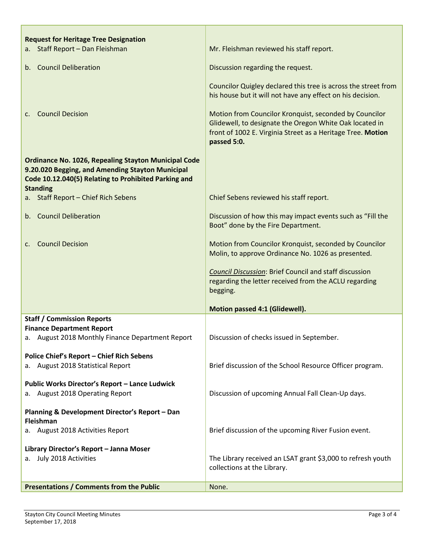| <b>Request for Heritage Tree Designation</b><br>a. Staff Report - Dan Fleishman                                                                                                            | Mr. Fleishman reviewed his staff report.                                                                                                                                                        |
|--------------------------------------------------------------------------------------------------------------------------------------------------------------------------------------------|-------------------------------------------------------------------------------------------------------------------------------------------------------------------------------------------------|
|                                                                                                                                                                                            |                                                                                                                                                                                                 |
| b. Council Deliberation                                                                                                                                                                    | Discussion regarding the request.                                                                                                                                                               |
|                                                                                                                                                                                            | Councilor Quigley declared this tree is across the street from<br>his house but it will not have any effect on his decision.                                                                    |
| <b>Council Decision</b><br>$\mathsf{C}$ .                                                                                                                                                  | Motion from Councilor Kronquist, seconded by Councilor<br>Glidewell, to designate the Oregon White Oak located in<br>front of 1002 E. Virginia Street as a Heritage Tree. Motion<br>passed 5:0. |
| <b>Ordinance No. 1026, Repealing Stayton Municipal Code</b><br>9.20.020 Begging, and Amending Stayton Municipal<br>Code 10.12.040(5) Relating to Prohibited Parking and<br><b>Standing</b> |                                                                                                                                                                                                 |
| a. Staff Report - Chief Rich Sebens                                                                                                                                                        | Chief Sebens reviewed his staff report.                                                                                                                                                         |
| b. Council Deliberation                                                                                                                                                                    | Discussion of how this may impact events such as "Fill the<br>Boot" done by the Fire Department.                                                                                                |
| <b>Council Decision</b><br>$\mathsf{C}$ .                                                                                                                                                  | Motion from Councilor Kronquist, seconded by Councilor<br>Molin, to approve Ordinance No. 1026 as presented.                                                                                    |
|                                                                                                                                                                                            | <b>Council Discussion: Brief Council and staff discussion</b><br>regarding the letter received from the ACLU regarding<br>begging.                                                              |
|                                                                                                                                                                                            | Motion passed 4:1 (Glidewell).                                                                                                                                                                  |
| <b>Staff / Commission Reports</b>                                                                                                                                                          |                                                                                                                                                                                                 |
| <b>Finance Department Report</b><br>a. August 2018 Monthly Finance Department Report                                                                                                       | Discussion of checks issued in September.                                                                                                                                                       |
| <b>Police Chief's Report - Chief Rich Sebens</b><br>a. August 2018 Statistical Report                                                                                                      | Brief discussion of the School Resource Officer program.                                                                                                                                        |
| Public Works Director's Report - Lance Ludwick<br>a. August 2018 Operating Report                                                                                                          | Discussion of upcoming Annual Fall Clean-Up days.                                                                                                                                               |
| Planning & Development Director's Report - Dan<br>Fleishman                                                                                                                                |                                                                                                                                                                                                 |
| a. August 2018 Activities Report                                                                                                                                                           | Brief discussion of the upcoming River Fusion event.                                                                                                                                            |
| Library Director's Report - Janna Moser                                                                                                                                                    |                                                                                                                                                                                                 |
| a. July 2018 Activities                                                                                                                                                                    | The Library received an LSAT grant \$3,000 to refresh youth<br>collections at the Library.                                                                                                      |
| <b>Presentations / Comments from the Public</b>                                                                                                                                            | None.                                                                                                                                                                                           |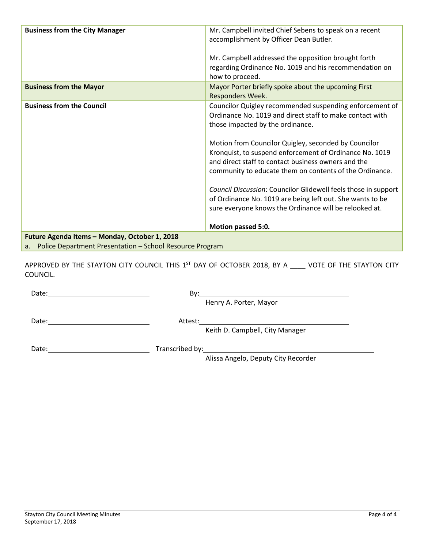| <b>Business from the City Manager</b>                                                                        | Mr. Campbell invited Chief Sebens to speak on a recent                                                                                                                                                                            |
|--------------------------------------------------------------------------------------------------------------|-----------------------------------------------------------------------------------------------------------------------------------------------------------------------------------------------------------------------------------|
|                                                                                                              | accomplishment by Officer Dean Butler.                                                                                                                                                                                            |
|                                                                                                              | Mr. Campbell addressed the opposition brought forth<br>regarding Ordinance No. 1019 and his recommendation on<br>how to proceed.                                                                                                  |
| <b>Business from the Mayor</b>                                                                               | Mayor Porter briefly spoke about the upcoming First<br>Responders Week.                                                                                                                                                           |
| <b>Business from the Council</b>                                                                             | Councilor Quigley recommended suspending enforcement of                                                                                                                                                                           |
|                                                                                                              | Ordinance No. 1019 and direct staff to make contact with                                                                                                                                                                          |
|                                                                                                              | those impacted by the ordinance.                                                                                                                                                                                                  |
|                                                                                                              | Motion from Councilor Quigley, seconded by Councilor<br>Kronquist, to suspend enforcement of Ordinance No. 1019<br>and direct staff to contact business owners and the<br>community to educate them on contents of the Ordinance. |
|                                                                                                              | Council Discussion: Councilor Glidewell feels those in support<br>of Ordinance No. 1019 are being left out. She wants to be<br>sure everyone knows the Ordinance will be relooked at.                                             |
|                                                                                                              | Motion passed 5:0.                                                                                                                                                                                                                |
| Future Agenda Items - Monday, October 1, 2018<br>a. Police Department Presentation - School Resource Program |                                                                                                                                                                                                                                   |

APPROVED BY THE STAYTON CITY COUNCIL THIS 1<sup>ST</sup> DAY OF OCTOBER 2018, BY A \_\_\_\_ VOTE OF THE STAYTON CITY COUNCIL.

| Date:<br>the contract of the contract of the contract of the contract of the contract of the contract of | Bv:                                 |  |
|----------------------------------------------------------------------------------------------------------|-------------------------------------|--|
|                                                                                                          | Henry A. Porter, Mayor              |  |
| Date:                                                                                                    | Attest:                             |  |
|                                                                                                          | Keith D. Campbell, City Manager     |  |
| Date:                                                                                                    |                                     |  |
|                                                                                                          | Alissa Angelo, Deputy City Recorder |  |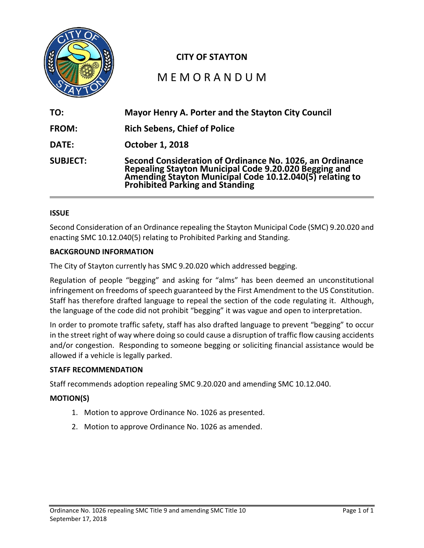

## **CITY OF STAYTON**

# M E M O R A N D U M

| TO:             | Mayor Henry A. Porter and the Stayton City Council                                                                                                                                                               |
|-----------------|------------------------------------------------------------------------------------------------------------------------------------------------------------------------------------------------------------------|
| <b>FROM:</b>    | <b>Rich Sebens, Chief of Police</b>                                                                                                                                                                              |
| DATE:           | October 1, 2018                                                                                                                                                                                                  |
| <b>SUBJECT:</b> | Second Consideration of Ordinance No. 1026, an Ordinance<br>Repealing Stayton Municipal Code 9.20.020 Begging and<br>Amending Stayton Municipal Code 10.12.040(5) relating to<br>Prohibited Parking and Standing |

## **ISSUE**

Second Consideration of an Ordinance repealing the Stayton Municipal Code (SMC) 9.20.020 and enacting SMC 10.12.040(5) relating to Prohibited Parking and Standing.

#### **BACKGROUND INFORMATION**

The City of Stayton currently has SMC 9.20.020 which addressed begging.

Regulation of people "begging" and asking for "alms" has been deemed an unconstitutional infringement on freedoms of speech guaranteed by the First Amendment to the US Constitution. Staff has therefore drafted language to repeal the section of the code regulating it. Although, the language of the code did not prohibit "begging" it was vague and open to interpretation.

In order to promote traffic safety, staff has also drafted language to prevent "begging" to occur in the street right of way where doing so could cause a disruption of traffic flow causing accidents and/or congestion. Responding to someone begging or soliciting financial assistance would be allowed if a vehicle is legally parked.

## **STAFF RECOMMENDATION**

Staff recommends adoption repealing SMC 9.20.020 and amending SMC 10.12.040.

#### **MOTION(S)**

- 1. Motion to approve Ordinance No. 1026 as presented.
- 2. Motion to approve Ordinance No. 1026 as amended.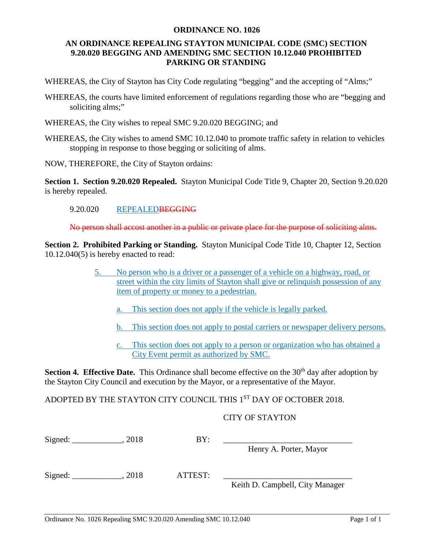#### **ORDINANCE NO. 1026**

## **AN ORDINANCE REPEALING STAYTON MUNICIPAL CODE (SMC) SECTION 9.20.020 BEGGING AND AMENDING SMC SECTION 10.12.040 PROHIBITED PARKING OR STANDING**

WHEREAS, the City of Stayton has City Code regulating "begging" and the accepting of "Alms;"

- WHEREAS, the courts have limited enforcement of regulations regarding those who are "begging and soliciting alms;"
- WHEREAS, the City wishes to repeal SMC 9.20.020 BEGGING; and
- WHEREAS, the City wishes to amend SMC 10.12.040 to promote traffic safety in relation to vehicles stopping in response to those begging or soliciting of alms.

NOW, THEREFORE, the City of Stayton ordains:

**Section 1. Section 9.20.020 Repealed.** Stayton Municipal Code Title 9, Chapter 20, Section 9.20.020 is hereby repealed.

## 9.20.020 REPEALEDBEGGING

No person shall accost another in a public or private place for the purpose of soliciting alms.

**Section 2. Prohibited Parking or Standing.** Stayton Municipal Code Title 10, Chapter 12, Section 10.12.040(5) is hereby enacted to read:

- 5. No person who is a driver or a passenger of a vehicle on a highway, road, or street within the city limits of Stayton shall give or relinquish possession of any item of property or money to a pedestrian.
	- a. This section does not apply if the vehicle is legally parked.
	- b. This section does not apply to postal carriers or newspaper delivery persons.
	- c. This section does not apply to a person or organization who has obtained a City Event permit as authorized by SMC.

**Section 4. Effective Date.** This Ordinance shall become effective on the 30<sup>th</sup> day after adoption by the Stayton City Council and execution by the Mayor, or a representative of the Mayor.

ADOPTED BY THE STAYTON CITY COUNCIL THIS 1ST DAY OF OCTOBER 2018.

## CITY OF STAYTON

| Sigma: | 2018 | BY:     |                                 |
|--------|------|---------|---------------------------------|
|        |      |         | Henry A. Porter, Mayor          |
| Sigma: | 2018 | ATTEST: |                                 |
|        |      |         | Keith D. Campbell, City Manager |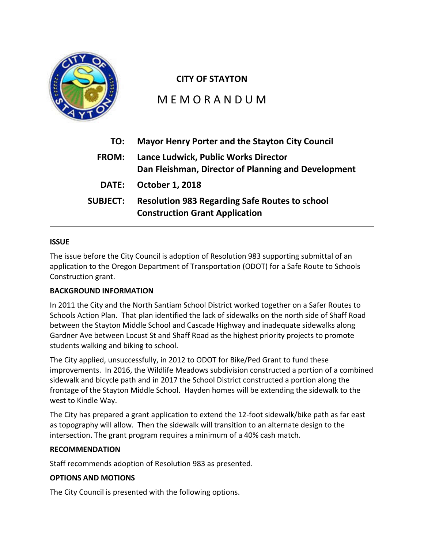

## **CITY OF STAYTON**

M E M O R A N D U M

| TO:             | <b>Mayor Henry Porter and the Stayton City Council</b>                                         |
|-----------------|------------------------------------------------------------------------------------------------|
| <b>FROM:</b>    | Lance Ludwick, Public Works Director<br>Dan Fleishman, Director of Planning and Development    |
| <b>DATE:</b>    | <b>October 1, 2018</b>                                                                         |
| <b>SUBJECT:</b> | <b>Resolution 983 Regarding Safe Routes to school</b><br><b>Construction Grant Application</b> |

## **ISSUE**

The issue before the City Council is adoption of Resolution 983 supporting submittal of an application to the Oregon Department of Transportation (ODOT) for a Safe Route to Schools Construction grant.

## **BACKGROUND INFORMATION**

In 2011 the City and the North Santiam School District worked together on a Safer Routes to Schools Action Plan. That plan identified the lack of sidewalks on the north side of Shaff Road between the Stayton Middle School and Cascade Highway and inadequate sidewalks along Gardner Ave between Locust St and Shaff Road as the highest priority projects to promote students walking and biking to school.

The City applied, unsuccessfully, in 2012 to ODOT for Bike/Ped Grant to fund these improvements. In 2016, the Wildlife Meadows subdivision constructed a portion of a combined sidewalk and bicycle path and in 2017 the School District constructed a portion along the frontage of the Stayton Middle School. Hayden homes will be extending the sidewalk to the west to Kindle Way.

The City has prepared a grant application to extend the 12-foot sidewalk/bike path as far east as topography will allow. Then the sidewalk will transition to an alternate design to the intersection. The grant program requires a minimum of a 40% cash match.

## **RECOMMENDATION**

Staff recommends adoption of Resolution 983 as presented.

## **OPTIONS AND MOTIONS**

The City Council is presented with the following options.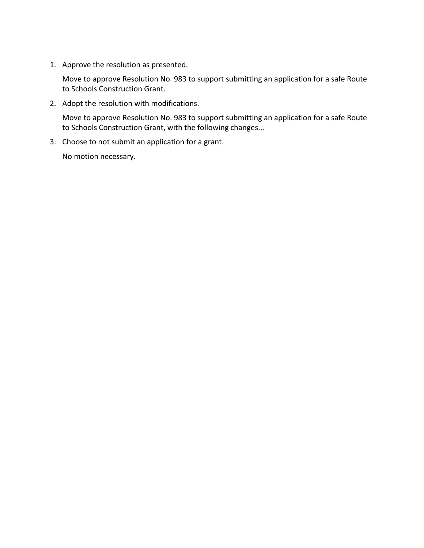1. Approve the resolution as presented.

Move to approve Resolution No. 983 to support submitting an application for a safe Route to Schools Construction Grant.

2. Adopt the resolution with modifications.

Move to approve Resolution No. 983 to support submitting an application for a safe Route to Schools Construction Grant, with the following changes...

3. Choose to not submit an application for a grant.

No motion necessary.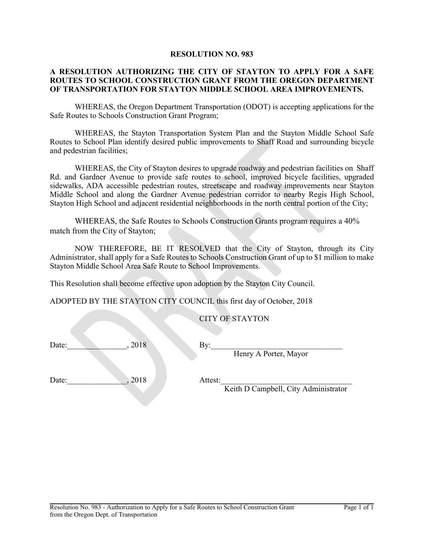#### **RESOLUTION NO. 983**

#### **A RESOLUTION AUTHORIZING THE CITY OF STAYTON TO APPLY FOR A SAFE ROUTES TO SCHOOL CONSTRUCTION GRANT FROM THE OREGON DEPARTMENT OF TRANSPORTATION FOR STAYTON MIDDLE SCHOOL AREA IMPROVEMENTS.**

WHEREAS, the Oregon Department Transportation (ODOT) is accepting applications for the Safe Routes to Schools Construction Grant Program;

WHEREAS, the Stayton Transportation System Plan and the Stayton Middle School Safe Routes to School Plan identify desired public improvements to Shaff Road and surrounding bicycle and pedestrian facilities;

WHEREAS, the City of Stayton desires to upgrade roadway and pedestrian facilities on Shaff Rd. and Gardner Avenue to provide safe routes to school, improved bicycle facilities, upgraded sidewalks, ADA accessible pedestrian routes, streetscape and roadway improvements near Stayton Middle School and along the Gardner Avenue pedestrian corridor to nearby Regis High School, Stayton High School and adjacent residential neighborhoods in the north central portion of the City;

WHEREAS, the Safe Routes to Schools Construction Grants program requires a 40% match from the City of Stayton;

NOW THEREFORE, BE IT RESOLVED that the City of Stayton, through its City Administrator, shall apply for a Safe Routes to Schools Construction Grant of up to \$1 million to make Stayton Middle School Area Safe Route to School Improvements.

This Resolution shall become effective upon adoption by the Stayton City Council.

ADOPTED BY THE STAYTON CITY COUNCIL this first day of October, 2018

CITY OF STAYTON

Date:  $\qquad \qquad 018$  By:

Henry A Porter, Mayor

Date:\_\_\_\_\_\_\_\_\_\_\_\_\_\_\_, 2018 Attest:\_\_\_\_\_\_\_\_\_\_\_\_\_\_\_\_\_\_\_\_\_\_\_\_\_\_\_\_\_\_\_\_\_

Keith D Campbell, City Administrator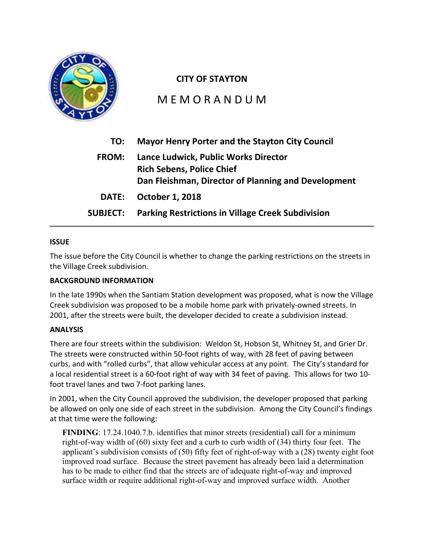

## **CITY OF STAYTON**

M E M O R A N D U M

| TO:                                                                                                                                             | <b>Mayor Henry Porter and the Stayton City Council</b>   |
|-------------------------------------------------------------------------------------------------------------------------------------------------|----------------------------------------------------------|
| Lance Ludwick, Public Works Director<br><b>FROM:</b><br><b>Rich Sebens, Police Chief</b><br>Dan Fleishman, Director of Planning and Development |                                                          |
| <b>DATE:</b>                                                                                                                                    | <b>October 1, 2018</b>                                   |
| <b>SUBJECT:</b>                                                                                                                                 | <b>Parking Restrictions in Village Creek Subdivision</b> |

## **ISSUE**

The issue before the City Council is whether to change the parking restrictions on the streets in the Village Creek subdivision.

## **BACKGROUND INFORMATION**

In the late 1990s when the Santiam Station development was proposed, what is now the Village Creek subdivision was proposed to be a mobile home park with privately-owned streets. In 2001, after the streets were built, the developer decided to create a subdivision instead.

## **ANALYSIS**

There are four streets within the subdivision: Weldon St, Hobson St, Whitney St, and Grier Dr. The streets were constructed within 50-foot rights of way, with 28 feet of paving between curbs, and with "rolled curbs", that allow vehicular access at any point. The City's standard for a local residential street is a 60-foot right of way with 34 feet of paving. This allows for two 10 foot travel lanes and two 7-foot parking lanes.

In 2001, when the City Council approved the subdivision, the developer proposed that parking be allowed on only one side of each street in the subdivision. Among the City Council's findings at that time were the following:

**FINDING**: 17.24.1040.7.b. identifies that minor streets (residential) call for a minimum right-of-way width of (60) sixty feet and a curb to curb width of (34) thirty four feet. The applicant's subdivision consists of (50) fifty feet of right-of-way with a (28) twenty eight foot improved road surface. Because the street pavement has already been laid a determination has to be made to either find that the streets are of adequate right-of-way and improved surface width or require additional right-of-way and improved surface width. Another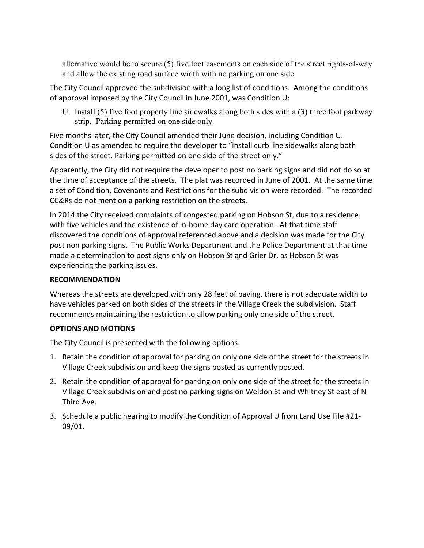alternative would be to secure (5) five foot easements on each side of the street rights-of-way and allow the existing road surface width with no parking on one side.

The City Council approved the subdivision with a long list of conditions. Among the conditions of approval imposed by the City Council in June 2001, was Condition U:

U. Install (5) five foot property line sidewalks along both sides with a (3) three foot parkway strip. Parking permitted on one side only.

Five months later, the City Council amended their June decision, including Condition U. Condition U as amended to require the developer to "install curb line sidewalks along both sides of the street. Parking permitted on one side of the street only."

Apparently, the City did not require the developer to post no parking signs and did not do so at the time of acceptance of the streets. The plat was recorded in June of 2001. At the same time a set of Condition, Covenants and Restrictions for the subdivision were recorded. The recorded CC&Rs do not mention a parking restriction on the streets.

In 2014 the City received complaints of congested parking on Hobson St, due to a residence with five vehicles and the existence of in-home day care operation. At that time staff discovered the conditions of approval referenced above and a decision was made for the City post non parking signs. The Public Works Department and the Police Department at that time made a determination to post signs only on Hobson St and Grier Dr, as Hobson St was experiencing the parking issues.

## **RECOMMENDATION**

Whereas the streets are developed with only 28 feet of paving, there is not adequate width to have vehicles parked on both sides of the streets in the Village Creek the subdivision. Staff recommends maintaining the restriction to allow parking only one side of the street.

## **OPTIONS AND MOTIONS**

The City Council is presented with the following options.

- 1. Retain the condition of approval for parking on only one side of the street for the streets in Village Creek subdivision and keep the signs posted as currently posted.
- 2. Retain the condition of approval for parking on only one side of the street for the streets in Village Creek subdivision and post no parking signs on Weldon St and Whitney St east of N Third Ave.
- 3. Schedule a public hearing to modify the Condition of Approval U from Land Use File #21- 09/01.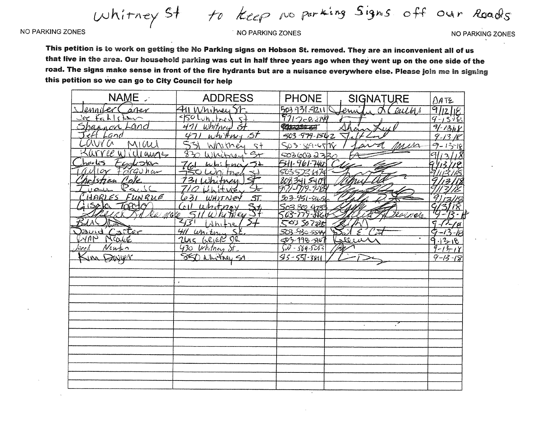to Keep no parking Signis off our Roads Whitney St

**NO PARKING ZONES** 

#### NO PARKING ZONES

NO PARKING ZONES

This petition is to work on getting the No Parking signs on Hobson St. removed. They are an inconvenient all of us that live in the area. Our household parking was cut in half three years ago when they went up on the one side of the road. The signs make sense in front of the fire hydrants but are a nuisance everywhere else. Please join me in signing this petition so we can go to City Council for help

| NAME .                    | <b>ADDRESS</b>                   | <b>PHONE</b>        | <b>SIGNATURE</b> | DATE          |
|---------------------------|----------------------------------|---------------------|------------------|---------------|
| Caner<br>enniler          | 411 Whitney St.                  | 503931.4211         | Carlos<br>enni   | 9112118       |
| $Jac$ $Fah(g)$            | <u>Solun, tred</u><br>$\leq$     | 9712-8274           |                  | $9 - 15 - 6$  |
| <u>Shannon Land</u>       | $\overline{64}$<br>Whitney<br>41 | <b>CHECKS CO</b>    |                  | 9/1308        |
| Land                      | white y St                       | 503-979-1542        |                  | $9 - 13.18$   |
| MV G<br>MIW               | Whitney<br>5t                    | SO3-SO9-45/78       | missa            | $9 - 13 - 18$ |
| Willamse                  | $\overline{3}$<br>Wicitra        | <u>5036022336</u>   |                  |               |
| Factor<br>harles          | づん<br>-ines                      | <u>541-961-7400</u> |                  |               |
| Parguhan<br>$\hat{u}$ Mor |                                  | 503522.474          |                  |               |
| Cole                      | tam                              | 8033415409          |                  |               |
| Pau                       |                                  |                     |                  |               |
| HARLES<br>FUNRUE          | $\mathfrak{F}$<br>631            | 503-951-8651        |                  |               |
| $T = C$<br>$isab \alpha$  | 5t<br>Whitnoy                    | <u>So3 302 473</u>  |                  |               |
| Va molo                   | hi Fries<br>(W                   | 563-779-886         | roenete          |               |
|                           | 157<br>$dh$ $tr4$                | 50350728            |                  | $\varsigma$   |
| <u>avid Carter</u>        | Whitney                          | 503-930-5544        |                  | Ğ<br>$-i^2$   |
| $24A$ N<br>Nearce         | GRIGR DR<br>2iac                 | 503-198-5107        | taleur           | 9.13.18       |
| Neufon<br>lare k          | 430 Whitney                      | $50 - 569 - 5053$   |                  | $9 - 13 - 18$ |
| DINVER                    | Whitney S1                       | $95 - 55 - 3811$    |                  | $9 - 13 - 18$ |
|                           | $\bar{z}$                        |                     |                  |               |
|                           | $\bullet$                        |                     |                  |               |
|                           |                                  |                     |                  |               |
|                           |                                  |                     |                  |               |
|                           |                                  |                     |                  |               |
|                           |                                  |                     |                  |               |
|                           |                                  |                     | $\mathbf{r}$     |               |
|                           |                                  |                     |                  |               |
|                           |                                  |                     |                  |               |
|                           |                                  |                     |                  |               |
|                           |                                  |                     |                  |               |
|                           |                                  |                     |                  |               |
|                           |                                  |                     |                  |               |
|                           |                                  |                     |                  |               |